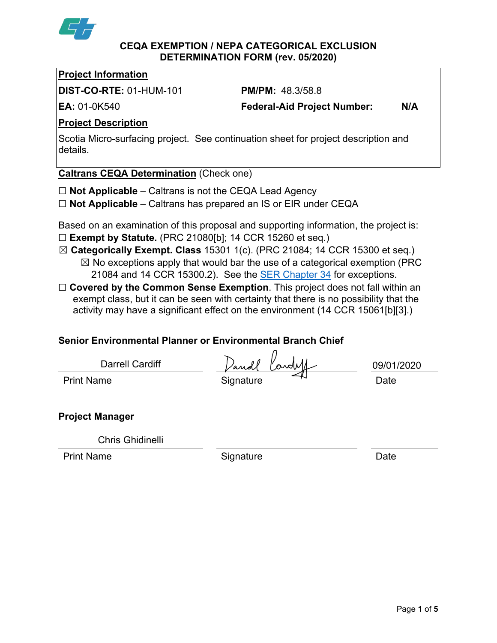

#### **CEQA EXEMPTION / NEPA CATEGORICAL EXCLUSION DETERMINATION FORM (rev. 05/2020)**

# **Project Information**

**DIST-CO-RTE:** 01-HUM-101 **PM/PM:** 48.3/58.8

**EA:** 01-0K540 **Federal-Aid Project Number: N/A**

# **Project Description**

Scotia Micro-surfacing project. See continuation sheet for project description and details.

**Caltrans CEQA Determination** (Check one)

- ☐ **Not Applicable** Caltrans is not the CEQA Lead Agency
- ☐ **Not Applicable** Caltrans has prepared an IS or EIR under CEQA

Based on an examination of this proposal and supporting information, the project is: ☐ **Exempt by Statute.** (PRC 21080[b]; 14 CCR 15260 et seq.)

- ☒ **Categorically Exempt. Class** 15301 1(c). (PRC 21084; 14 CCR 15300 et seq.)  $\boxtimes$  No exceptions apply that would bar the use of a categorical exemption (PRC 21084 and 14 CCR 15300.2). See the [SER Chapter 34](https://dot.ca.gov/programs/environmental-analysis/standard-environmental-reference-ser/volume-1-guidance-for-compliance/ch-34-exemptions-to-ceqa#except) for exceptions.
- □ **Covered by the Common Sense Exemption**. This project does not fall within an exempt class, but it can be seen with certainty that there is no possibility that the activity may have a significant effect on the environment (14 CCR 15061[b][3].)

# **Senior Environmental Planner or Environmental Branch Chief**

| Darrell Cardiff   | Dandl<br>Cardell | 09/01/2020 |
|-------------------|------------------|------------|
| <b>Print Name</b> | Signature        | Date       |
|                   |                  |            |

# **Project Manager**

Chris Ghidinelli for

Print Name **Signature Date** 

09/04/2020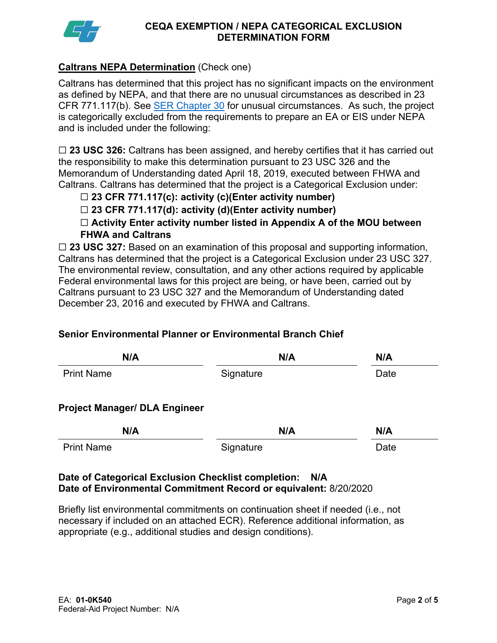

## **Caltrans NEPA Determination** (Check one)

Caltrans has determined that this project has no significant impacts on the environment as defined by NEPA, and that there are no unusual circumstances as described in 23 CFR 771.117(b). See **SER Chapter 30** for unusual circumstances. As such, the project is categorically excluded from the requirements to prepare an EA or EIS under NEPA and is included under the following:

☐ **23 USC 326:** Caltrans has been assigned, and hereby certifies that it has carried out the responsibility to make this determination pursuant to 23 USC 326 and the Memorandum of Understanding dated April 18, 2019, executed between FHWA and Caltrans. Caltrans has determined that the project is a Categorical Exclusion under:

# ☐ **23 CFR 771.117(c): activity (c)(Enter activity number)**

☐ **23 CFR 771.117(d): activity (d)(Enter activity number)**

☐ **Activity Enter activity number listed in Appendix A of the MOU between FHWA and Caltrans**

☐ **23 USC 327:** Based on an examination of this proposal and supporting information, Caltrans has determined that the project is a Categorical Exclusion under 23 USC 327. The environmental review, consultation, and any other actions required by applicable Federal environmental laws for this project are being, or have been, carried out by Caltrans pursuant to 23 USC 327 and the Memorandum of Understanding dated December 23, 2016 and executed by FHWA and Caltrans.

## **Senior Environmental Planner or Environmental Branch Chief**

| N/A                                  | N/A       | N/A  |
|--------------------------------------|-----------|------|
| <b>Print Name</b>                    | Signature | Date |
| <b>Project Manager/ DLA Engineer</b> |           |      |
| N/A                                  | N/A       | N/A  |
| <b>Print Name</b>                    | Signature | Date |

## **Date of Categorical Exclusion Checklist completion: N/A Date of Environmental Commitment Record or equivalent:** 8/20/2020

Briefly list environmental commitments on continuation sheet if needed (i.e., not necessary if included on an attached ECR). Reference additional information, as appropriate (e.g., additional studies and design conditions).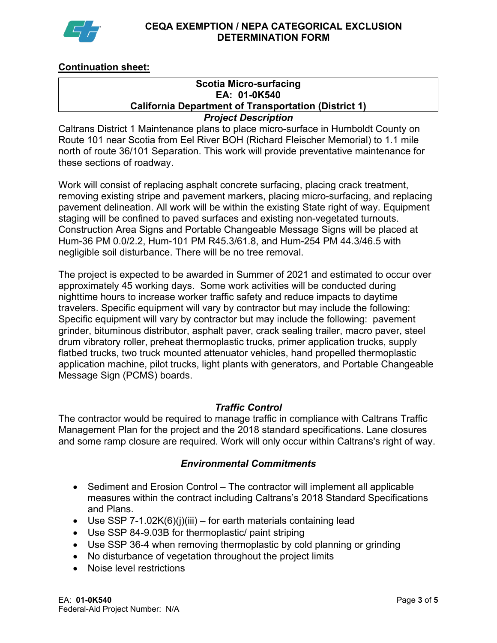

## **Continuation sheet:**

# **Scotia Micro-surfacing EA: 01-0K540 California Department of Transportation (District 1)**

# *Project Description*

Caltrans District 1 Maintenance plans to place micro-surface in Humboldt County on Route 101 near Scotia from Eel River BOH (Richard Fleischer Memorial) to 1.1 mile north of route 36/101 Separation. This work will provide preventative maintenance for these sections of roadway.

Work will consist of replacing asphalt concrete surfacing, placing crack treatment, removing existing stripe and pavement markers, placing micro-surfacing, and replacing pavement delineation. All work will be within the existing State right of way. Equipment staging will be confined to paved surfaces and existing non-vegetated turnouts. Construction Area Signs and Portable Changeable Message Signs will be placed at Hum-36 PM 0.0/2.2, Hum-101 PM R45.3/61.8, and Hum-254 PM 44.3/46.5 with negligible soil disturbance. There will be no tree removal.

The project is expected to be awarded in Summer of 2021 and estimated to occur over approximately 45 working days. Some work activities will be conducted during nighttime hours to increase worker traffic safety and reduce impacts to daytime travelers. Specific equipment will vary by contractor but may include the following: Specific equipment will vary by contractor but may include the following: pavement grinder, bituminous distributor, asphalt paver, crack sealing trailer, macro paver, steel drum vibratory roller, preheat thermoplastic trucks, primer application trucks, supply flatbed trucks, two truck mounted attenuator vehicles, hand propelled thermoplastic application machine, pilot trucks, light plants with generators, and Portable Changeable Message Sign (PCMS) boards.

#### *Traffic Control*

The contractor would be required to manage traffic in compliance with Caltrans Traffic Management Plan for the project and the 2018 standard specifications. Lane closures and some ramp closure are required. Work will only occur within Caltrans's right of way.

## *Environmental Commitments*

- Sediment and Erosion Control The contractor will implement all applicable measures within the contract including Caltrans's 2018 Standard Specifications and Plans.
- Use SSP 7-1.02K(6)(j)(iii) for earth materials containing lead
- Use SSP 84-9.03B for thermoplastic/ paint striping
- Use SSP 36-4 when removing thermoplastic by cold planning or grinding
- No disturbance of vegetation throughout the project limits
- Noise level restrictions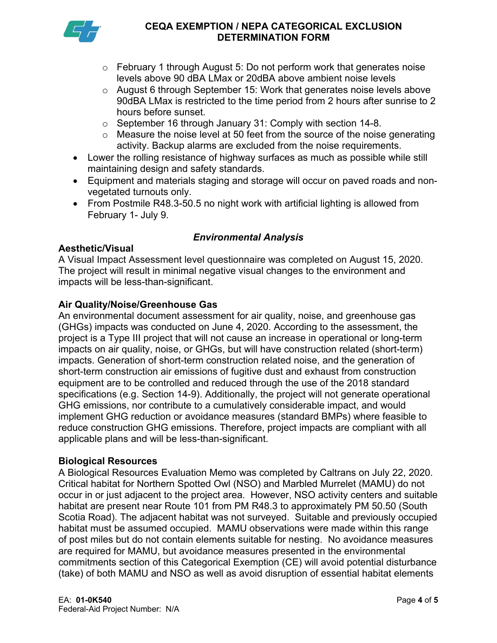

- $\circ$  February 1 through August 5: Do not perform work that generates noise levels above 90 dBA LMax or 20dBA above ambient noise levels
- o August 6 through September 15: Work that generates noise levels above 90dBA LMax is restricted to the time period from 2 hours after sunrise to 2 hours before sunset.
- o September 16 through January 31: Comply with section 14-8.
- $\circ$  Measure the noise level at 50 feet from the source of the noise generating activity. Backup alarms are excluded from the noise requirements.
- Lower the rolling resistance of highway surfaces as much as possible while still maintaining design and safety standards.
- Equipment and materials staging and storage will occur on paved roads and nonvegetated turnouts only.
- From Postmile R48.3-50.5 no night work with artificial lighting is allowed from February 1- July 9.

# *Environmental Analysis*

## **Aesthetic/Visual**

A Visual Impact Assessment level questionnaire was completed on August 15, 2020. The project will result in minimal negative visual changes to the environment and impacts will be less-than-significant.

# **Air Quality/Noise/Greenhouse Gas**

An environmental document assessment for air quality, noise, and greenhouse gas (GHGs) impacts was conducted on June 4, 2020. According to the assessment, the project is a Type III project that will not cause an increase in operational or long-term impacts on air quality, noise, or GHGs, but will have construction related (short-term) impacts. Generation of short-term construction related noise, and the generation of short-term construction air emissions of fugitive dust and exhaust from construction equipment are to be controlled and reduced through the use of the 2018 standard specifications (e.g. Section 14-9). Additionally, the project will not generate operational GHG emissions, nor contribute to a cumulatively considerable impact, and would implement GHG reduction or avoidance measures (standard BMPs) where feasible to reduce construction GHG emissions. Therefore, project impacts are compliant with all applicable plans and will be less-than-significant.

## **Biological Resources**

A Biological Resources Evaluation Memo was completed by Caltrans on July 22, 2020. Critical habitat for Northern Spotted Owl (NSO) and Marbled Murrelet (MAMU) do not occur in or just adjacent to the project area. However, NSO activity centers and suitable habitat are present near Route 101 from PM R48.3 to approximately PM 50.50 (South Scotia Road). The adjacent habitat was not surveyed. Suitable and previously occupied habitat must be assumed occupied. MAMU observations were made within this range of post miles but do not contain elements suitable for nesting. No avoidance measures are required for MAMU, but avoidance measures presented in the environmental commitments section of this Categorical Exemption (CE) will avoid potential disturbance (take) of both MAMU and NSO as well as avoid disruption of essential habitat elements